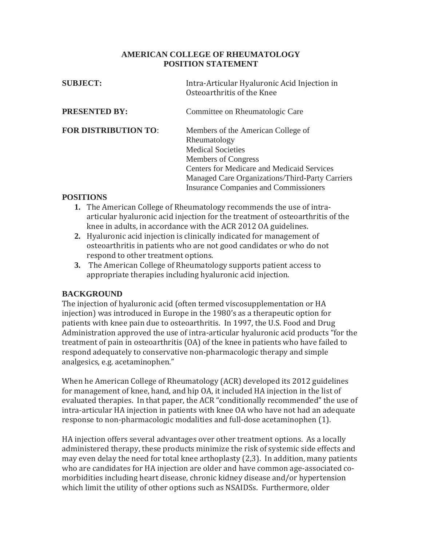## **AMERICAN COLLEGE OF RHEUMATOLOGY POSITION STATEMENT**

| <b>SUBJECT:</b>             | Intra-Articular Hyaluronic Acid Injection in<br>Osteoarthritis of the Knee                                                                                                                                                                                    |
|-----------------------------|---------------------------------------------------------------------------------------------------------------------------------------------------------------------------------------------------------------------------------------------------------------|
| <b>PRESENTED BY:</b>        | Committee on Rheumatologic Care                                                                                                                                                                                                                               |
| <b>FOR DISTRIBUTION TO:</b> | Members of the American College of<br>Rheumatology<br><b>Medical Societies</b><br>Members of Congress<br><b>Centers for Medicare and Medicaid Services</b><br>Managed Care Organizations/Third-Party Carriers<br><b>Insurance Companies and Commissioners</b> |

## **POSITIONS**

- **1.** The American College of Rheumatology recommends the use of intraarticular hyaluronic acid injection for the treatment of osteoarthritis of the knee in adults, in accordance with the ACR 2012 OA guidelines.
- **2.** Hyaluronic acid injection is clinically indicated for management of osteoarthritis in patients who are not good candidates or who do not respond to other treatment options.
- **3.** The American College of Rheumatology supports patient access to appropriate therapies including hyaluronic acid injection.

## **BACKGROUND**

The injection of hyaluronic acid (often termed viscosupplementation or HA injection) was introduced in Europe in the 1980's as a therapeutic option for patients with knee pain due to osteoarthritis. In 1997, the U.S. Food and Drug Administration approved the use of intra-articular hyaluronic acid products "for the treatment of pain in osteoarthritis (OA) of the knee in patients who have failed to respond adequately to conservative non-pharmacologic therapy and simple analgesics, e.g. acetaminophen."

When he American College of Rheumatology (ACR) developed its 2012 guidelines for management of knee, hand, and hip OA, it included HA injection in the list of evaluated therapies. In that paper, the ACR "conditionally recommended" the use of intra-articular HA injection in patients with knee OA who have not had an adequate response to non-pharmacologic modalities and full-dose acetaminophen (1).

HA injection offers several advantages over other treatment options. As a locally administered therapy, these products minimize the risk of systemic side effects and may even delay the need for total knee arthoplasty (2,3). In addition, many patients who are candidates for HA injection are older and have common age-associated comorbidities including heart disease, chronic kidney disease and/or hypertension which limit the utility of other options such as NSAIDSs. Furthermore, older